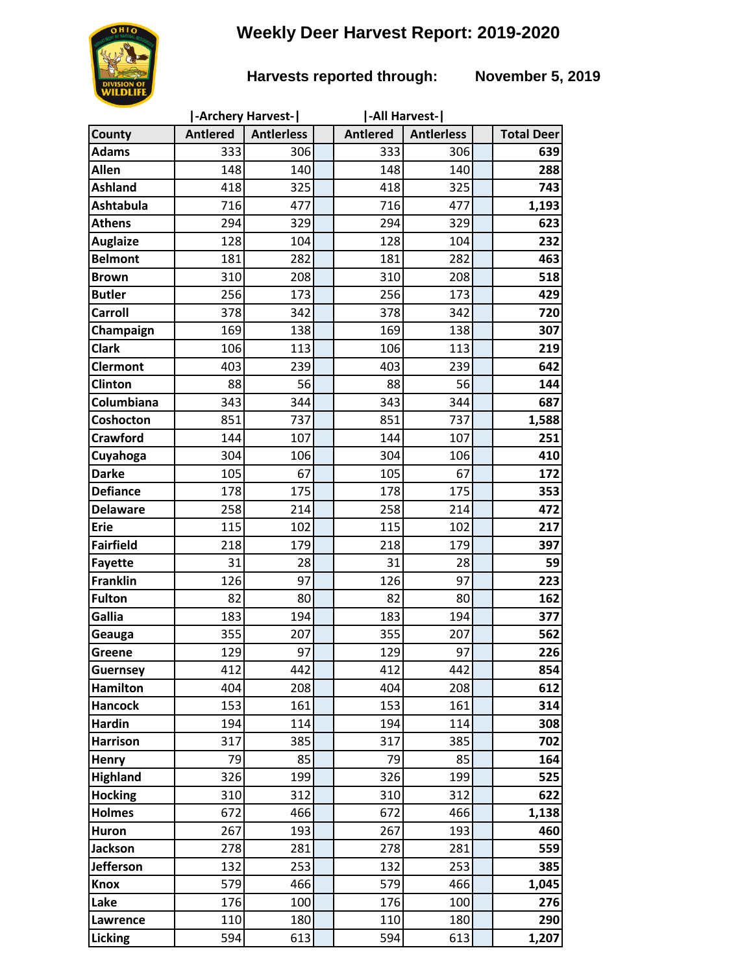# **Weekly Deer Harvest Report: 2019-2020**

## **Harvests reported through: November 5, 2019**

|                         |                 | -Archery Harvest- | -All Harvest-   |                   |                   |
|-------------------------|-----------------|-------------------|-----------------|-------------------|-------------------|
| County                  | <b>Antlered</b> | <b>Antlerless</b> | <b>Antlered</b> | <b>Antlerless</b> | <b>Total Deer</b> |
| <b>Adams</b>            | 333             | 306               | 333             | 306               | 639               |
| Allen                   | 148             | 140               | 148             | 140               | 288               |
| <b>Ashland</b>          | 418             | 325               | 418             | 325               | 743               |
| <b>Ashtabula</b>        | 716             | 477               | 716             | 477               | 1,193             |
| <b>Athens</b>           | 294             | 329               | 294             | 329               | 623               |
| <b>Auglaize</b>         | 128             | 104               | 128             | 104               | 232               |
| <b>Belmont</b>          | 181             | 282               | 181             | 282               | 463               |
| <b>Brown</b>            | 310             | 208               | 310             | 208               | 518               |
| <b>Butler</b>           | 256             | 173               | 256             | 173               | 429               |
| Carroll                 | 378             | 342               | 378             | 342               | 720               |
| Champaign               | 169             | 138               | 169             | 138               | 307               |
| <b>Clark</b>            | 106             | 113               | 106             | 113               | 219               |
| <b>Clermont</b>         | 403             | 239               | 403             | 239               | 642               |
| <b>Clinton</b>          | 88              | 56                | 88              | 56                | 144               |
| Columbiana              | 343             | 344               | 343             | 344               | 687               |
| Coshocton               | 851             | 737               | 851             | 737               | 1,588             |
| <b>Crawford</b>         | 144             | 107               | 144             | 107               | 251               |
| Cuyahoga                | 304             | 106               | 304             | 106               | 410               |
| <b>Darke</b>            | 105             | 67                | 105             | 67                | 172               |
| <b>Defiance</b>         | 178             | 175               | 178             | 175               | 353               |
| <b>Delaware</b>         | 258             | 214               | 258             | 214               | 472               |
| <b>Erie</b>             | 115             | 102               | 115             | 102               | 217               |
| <b>Fairfield</b>        | 218             | 179               | 218             | 179               | 397               |
| <b>Fayette</b>          | 31              | 28                | 31              | 28                | 59                |
| <b>Franklin</b>         | 126             | 97                | 126             | 97                | 223               |
| <b>Fulton</b><br>Gallia | 82<br>183       | 80<br>194         | 82<br>183       | 80<br>194         | 162<br>377        |
|                         | 355             | 207               | 355             | 207               | 562               |
| Geauga<br>Greene        | 129             | 97                | 129             | 97                | 226               |
| <b>Guernsey</b>         | 412             | 442               | 412             | 442               | 854               |
| <b>Hamilton</b>         | 404             | 208               | 404             | 208               | 612               |
| <b>Hancock</b>          | 153             | 161               | 153             | 161               | 314               |
| <b>Hardin</b>           | 194             | 114               | 194             | 114               | 308               |
| <b>Harrison</b>         | 317             | 385               | 317             | 385               | 702               |
| Henry                   | 79              | 85                | 79              | 85                | 164               |
| <b>Highland</b>         | 326             | 199               | 326             | 199               | 525               |
| <b>Hocking</b>          | 310             | 312               | 310             | 312               | 622               |
| <b>Holmes</b>           | 672             | 466               | 672             | 466               | 1,138             |
| Huron                   | 267             | 193               | 267             | 193               | 460               |
| <b>Jackson</b>          | 278             | 281               | 278             | 281               | 559               |
| <b>Jefferson</b>        | 132             | 253               | 132             | 253               | 385               |
| <b>Knox</b>             | 579             | 466               | 579             | 466               | 1,045             |
| Lake                    | 176             | 100               | 176             | 100               | 276               |
| Lawrence                | 110             | 180               | 110             | 180               | 290               |
| Licking                 | 594             | 613               | 594             | 613               | 1,207             |